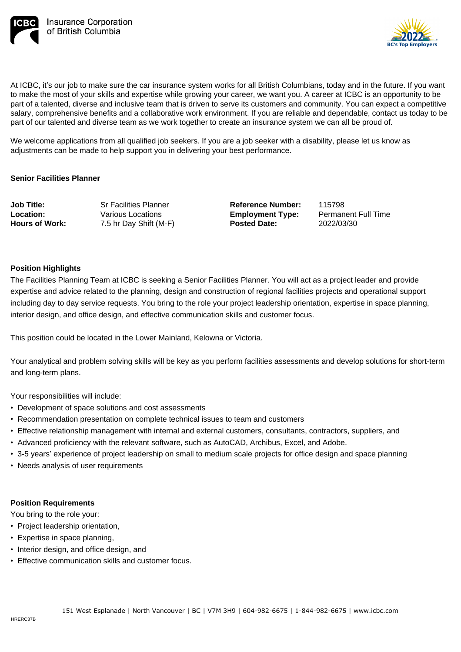



At ICBC, it's our job to make sure the car insurance system works for all British Columbians, today and in the future. If you want to make the most of your skills and expertise while growing your career, we want you. A career at ICBC is an opportunity to be part of a talented, diverse and inclusive team that is driven to serve its customers and community. You can expect a competitive salary, comprehensive benefits and a collaborative work environment. If you are reliable and dependable, contact us today to be part of our talented and diverse team as we work together to create an insurance system we can all be proud of.

We welcome applications from all qualified job seekers. If you are a job seeker with a disability, please let us know as adjustments can be made to help support you in delivering your best performance.

## **Senior Facilities Planner**

**Job Title: Location: Hours of Work:** Sr Facilities Planner Various Locations 7.5 hr Day Shift (M-F) **Reference Number: Employment Type: Posted Date:**

115798 Permanent Full Time 2022/03/30

## **Position Highlights**

The Facilities Planning Team at ICBC is seeking a Senior Facilities Planner. You will act as a project leader and provide expertise and advice related to the planning, design and construction of regional facilities projects and operational support including day to day service requests. You bring to the role your project leadership orientation, expertise in space planning, interior design, and office design, and effective communication skills and customer focus.

This position could be located in the Lower Mainland, Kelowna or Victoria.

Your analytical and problem solving skills will be key as you perform facilities assessments and develop solutions for short-term and long-term plans.

Your responsibilities will include:

- Development of space solutions and cost assessments
- Recommendation presentation on complete technical issues to team and customers
- Effective relationship management with internal and external customers, consultants, contractors, suppliers, and
- Advanced proficiency with the relevant software, such as AutoCAD, Archibus, Excel, and Adobe.
- 3-5 years' experience of project leadership on small to medium scale projects for office design and space planning
- Needs analysis of user requirements

## **Position Requirements**

You bring to the role your:

- Project leadership orientation,
- Expertise in space planning,
- Interior design, and office design, and
- Effective communication skills and customer focus.